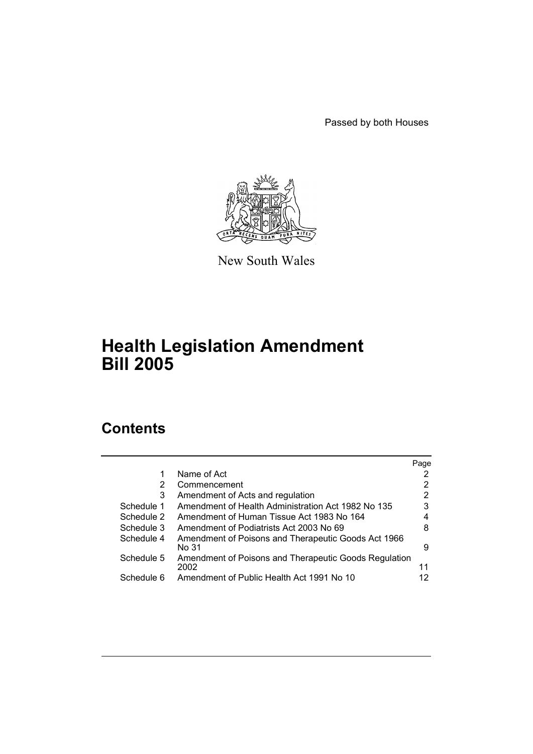Passed by both Houses



New South Wales

# **Health Legislation Amendment Bill 2005**

# **Contents**

|            |                                                               | Page |
|------------|---------------------------------------------------------------|------|
| 1          | Name of Act                                                   |      |
| 2          | Commencement                                                  | 2    |
| 3          | Amendment of Acts and regulation                              | 2    |
| Schedule 1 | Amendment of Health Administration Act 1982 No 135            | 3    |
| Schedule 2 | Amendment of Human Tissue Act 1983 No 164                     |      |
| Schedule 3 | Amendment of Podiatrists Act 2003 No 69                       | 8    |
| Schedule 4 | Amendment of Poisons and Therapeutic Goods Act 1966<br>No 31  | 9    |
| Schedule 5 | Amendment of Poisons and Therapeutic Goods Regulation<br>2002 | 11   |
| Schedule 6 | Amendment of Public Health Act 1991 No 10                     | 12   |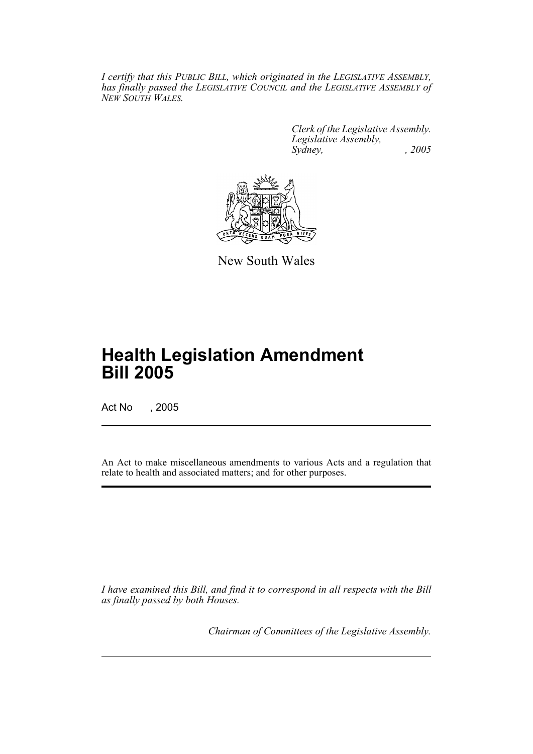*I certify that this PUBLIC BILL, which originated in the LEGISLATIVE ASSEMBLY, has finally passed the LEGISLATIVE COUNCIL and the LEGISLATIVE ASSEMBLY of NEW SOUTH WALES.*

> *Clerk of the Legislative Assembly. Legislative Assembly, Sydney, , 2005*



New South Wales

# **Health Legislation Amendment Bill 2005**

Act No , 2005

An Act to make miscellaneous amendments to various Acts and a regulation that relate to health and associated matters; and for other purposes.

*I have examined this Bill, and find it to correspond in all respects with the Bill as finally passed by both Houses.*

*Chairman of Committees of the Legislative Assembly.*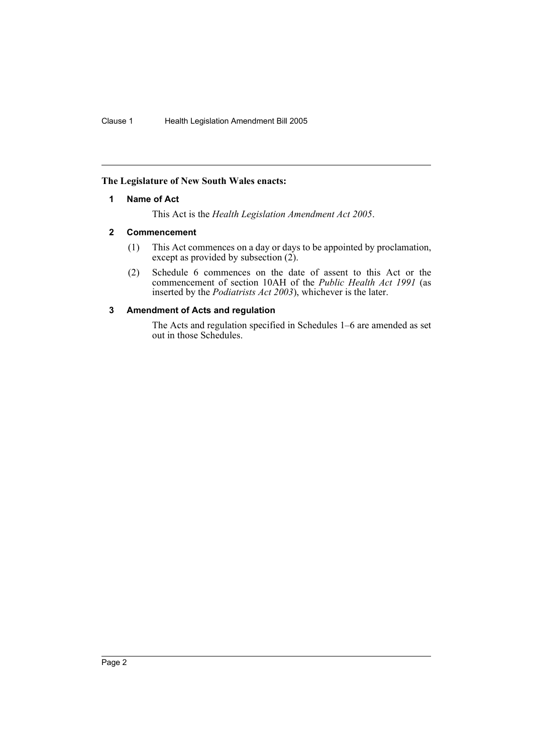## **The Legislature of New South Wales enacts:**

### **1 Name of Act**

This Act is the *Health Legislation Amendment Act 2005*.

### **2 Commencement**

- (1) This Act commences on a day or days to be appointed by proclamation, except as provided by subsection (2).
- (2) Schedule 6 commences on the date of assent to this Act or the commencement of section 10AH of the *Public Health Act 1991* (as inserted by the *Podiatrists Act 2003*), whichever is the later.

### **3 Amendment of Acts and regulation**

The Acts and regulation specified in Schedules 1–6 are amended as set out in those Schedules.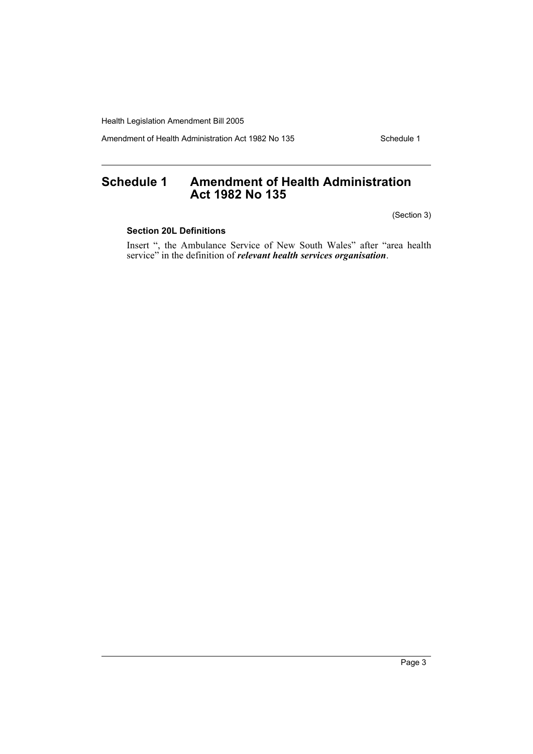Amendment of Health Administration Act 1982 No 135 Schedule 1

# **Schedule 1 Amendment of Health Administration Act 1982 No 135**

(Section 3)

# **Section 20L Definitions**

Insert ", the Ambulance Service of New South Wales" after "area health service" in the definition of *relevant health services organisation*.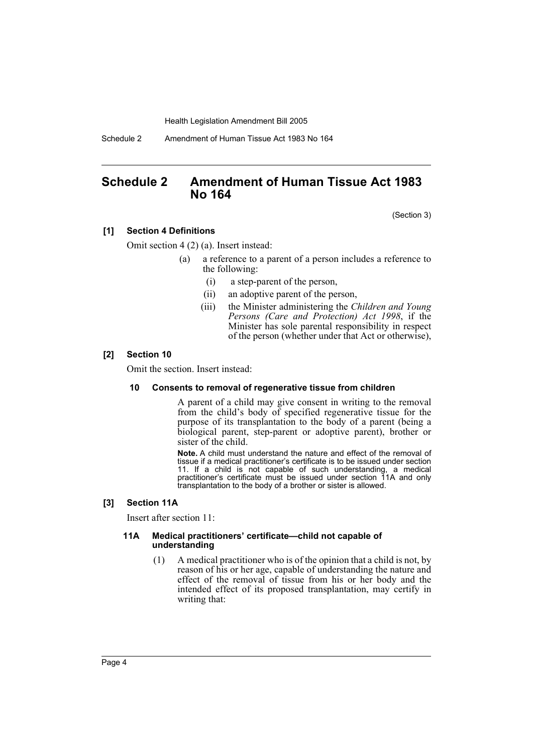Schedule 2 Amendment of Human Tissue Act 1983 No 164

# **Schedule 2 Amendment of Human Tissue Act 1983 No 164**

(Section 3)

### **[1] Section 4 Definitions**

Omit section 4 (2) (a). Insert instead:

- (a) a reference to a parent of a person includes a reference to the following:
	- (i) a step-parent of the person,
	- (ii) an adoptive parent of the person,
	- (iii) the Minister administering the *Children and Young Persons (Care and Protection) Act 1998*, if the Minister has sole parental responsibility in respect of the person (whether under that Act or otherwise),

#### **[2] Section 10**

Omit the section. Insert instead:

#### **10 Consents to removal of regenerative tissue from children**

A parent of a child may give consent in writing to the removal from the child's body of specified regenerative tissue for the purpose of its transplantation to the body of a parent (being a biological parent, step-parent or adoptive parent), brother or sister of the child.

**Note.** A child must understand the nature and effect of the removal of tissue if a medical practitioner's certificate is to be issued under section 11. If a child is not capable of such understanding, a medical practitioner's certificate must be issued under section 11A and only transplantation to the body of a brother or sister is allowed.

### **[3] Section 11A**

Insert after section 11:

#### **11A Medical practitioners' certificate—child not capable of understanding**

(1) A medical practitioner who is of the opinion that a child is not, by reason of his or her age, capable of understanding the nature and effect of the removal of tissue from his or her body and the intended effect of its proposed transplantation, may certify in writing that: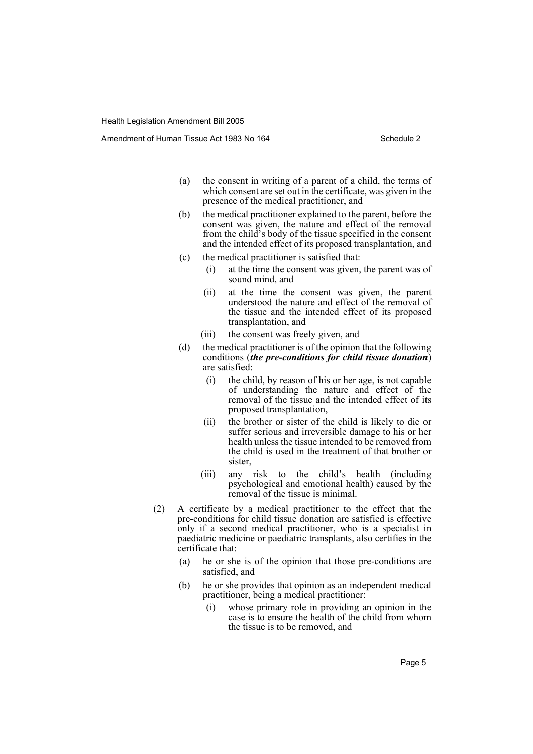Amendment of Human Tissue Act 1983 No 164 Schedule 2

- (a) the consent in writing of a parent of a child, the terms of which consent are set out in the certificate, was given in the presence of the medical practitioner, and
- (b) the medical practitioner explained to the parent, before the consent was given, the nature and effect of the removal from the child's body of the tissue specified in the consent and the intended effect of its proposed transplantation, and
- (c) the medical practitioner is satisfied that:
	- (i) at the time the consent was given, the parent was of sound mind, and
	- (ii) at the time the consent was given, the parent understood the nature and effect of the removal of the tissue and the intended effect of its proposed transplantation, and
	- (iii) the consent was freely given, and
- (d) the medical practitioner is of the opinion that the following conditions (*the pre-conditions for child tissue donation*) are satisfied:
	- (i) the child, by reason of his or her age, is not capable of understanding the nature and effect of the removal of the tissue and the intended effect of its proposed transplantation,
	- (ii) the brother or sister of the child is likely to die or suffer serious and irreversible damage to his or her health unless the tissue intended to be removed from the child is used in the treatment of that brother or sister,
	- (iii) any risk to the child's health (including psychological and emotional health) caused by the removal of the tissue is minimal.
- (2) A certificate by a medical practitioner to the effect that the pre-conditions for child tissue donation are satisfied is effective only if a second medical practitioner, who is a specialist in paediatric medicine or paediatric transplants, also certifies in the certificate that:
	- (a) he or she is of the opinion that those pre-conditions are satisfied, and
	- (b) he or she provides that opinion as an independent medical practitioner, being a medical practitioner:
		- (i) whose primary role in providing an opinion in the case is to ensure the health of the child from whom the tissue is to be removed, and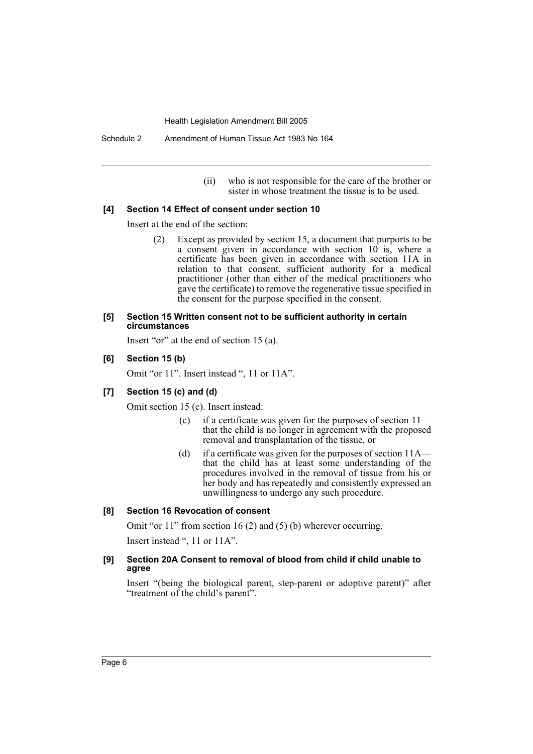Schedule 2 Amendment of Human Tissue Act 1983 No 164

(ii) who is not responsible for the care of the brother or sister in whose treatment the tissue is to be used.

#### **[4] Section 14 Effect of consent under section 10**

Insert at the end of the section:

(2) Except as provided by section 15, a document that purports to be a consent given in accordance with section 10 is, where a certificate has been given in accordance with section 11A in relation to that consent, sufficient authority for a medical practitioner (other than either of the medical practitioners who gave the certificate) to remove the regenerative tissue specified in the consent for the purpose specified in the consent.

#### **[5] Section 15 Written consent not to be sufficient authority in certain circumstances**

Insert "or" at the end of section 15 (a).

#### **[6] Section 15 (b)**

Omit "or 11". Insert instead ", 11 or 11A".

## **[7] Section 15 (c) and (d)**

Omit section 15 (c). Insert instead:

- (c) if a certificate was given for the purposes of section 11 that the child is no longer in agreement with the proposed removal and transplantation of the tissue, or
- (d) if a certificate was given for the purposes of section 11A that the child has at least some understanding of the procedures involved in the removal of tissue from his or her body and has repeatedly and consistently expressed an unwillingness to undergo any such procedure.

#### **[8] Section 16 Revocation of consent**

Omit "or 11" from section 16 (2) and (5) (b) wherever occurring.

Insert instead ", 11 or 11A".

#### **[9] Section 20A Consent to removal of blood from child if child unable to agree**

Insert "(being the biological parent, step-parent or adoptive parent)" after "treatment of the child's parent".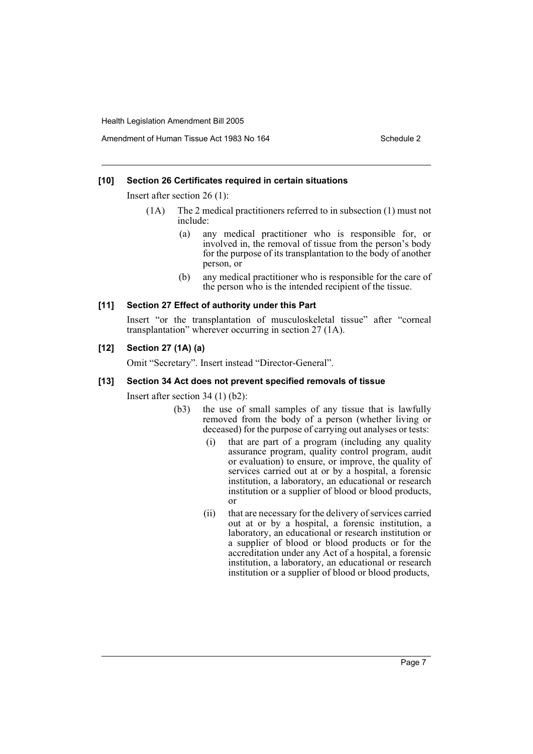#### **[10] Section 26 Certificates required in certain situations**

Insert after section 26 (1):

- (1A) The 2 medical practitioners referred to in subsection (1) must not include:
	- (a) any medical practitioner who is responsible for, or involved in, the removal of tissue from the person's body for the purpose of its transplantation to the body of another person, or
	- (b) any medical practitioner who is responsible for the care of the person who is the intended recipient of the tissue.

#### **[11] Section 27 Effect of authority under this Part**

Insert "or the transplantation of musculoskeletal tissue" after "corneal transplantation" wherever occurring in section 27 (1A).

## **[12] Section 27 (1A) (a)**

Omit "Secretary". Insert instead "Director-General".

#### **[13] Section 34 Act does not prevent specified removals of tissue**

Insert after section 34 (1) (b2):

- (b3) the use of small samples of any tissue that is lawfully removed from the body of a person (whether living or deceased) for the purpose of carrying out analyses or tests:
	- (i) that are part of a program (including any quality assurance program, quality control program, audit or evaluation) to ensure, or improve, the quality of services carried out at or by a hospital, a forensic institution, a laboratory, an educational or research institution or a supplier of blood or blood products, or
	- (ii) that are necessary for the delivery of services carried out at or by a hospital, a forensic institution, a laboratory, an educational or research institution or a supplier of blood or blood products or for the accreditation under any Act of a hospital, a forensic institution, a laboratory, an educational or research institution or a supplier of blood or blood products,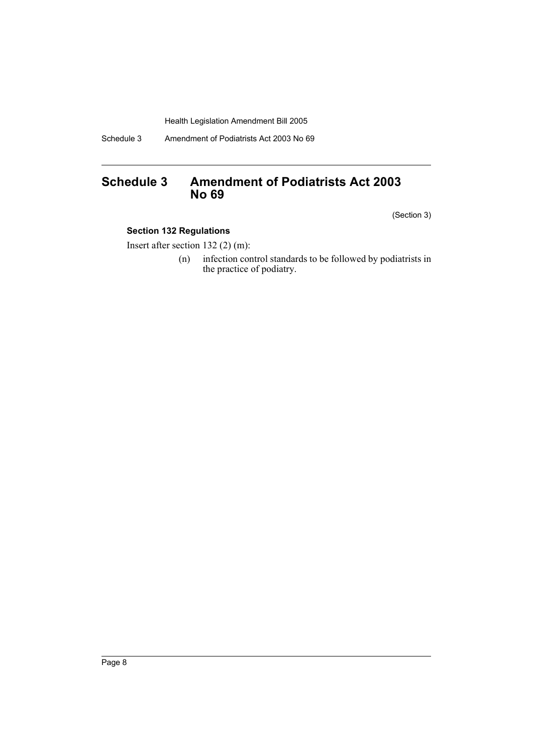Schedule 3 Amendment of Podiatrists Act 2003 No 69

# **Schedule 3 Amendment of Podiatrists Act 2003 No 69**

(Section 3)

# **Section 132 Regulations**

Insert after section 132 (2) (m):

(n) infection control standards to be followed by podiatrists in the practice of podiatry.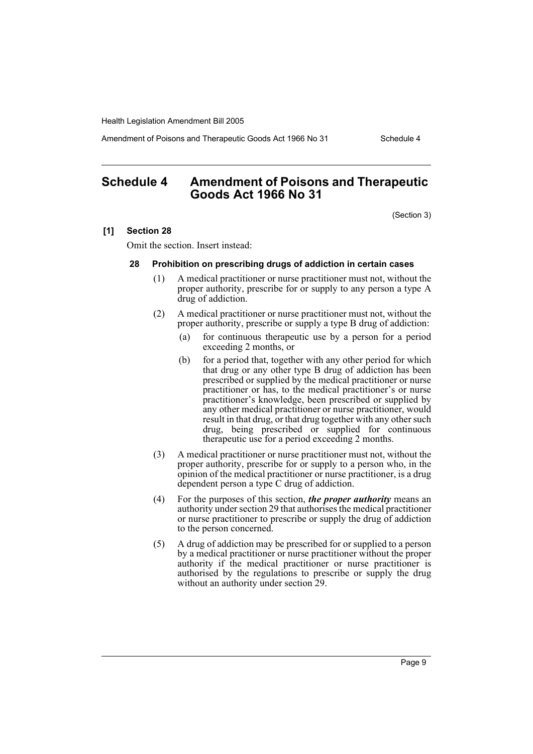Amendment of Poisons and Therapeutic Goods Act 1966 No 31 Schedule 4

# **Schedule 4 Amendment of Poisons and Therapeutic Goods Act 1966 No 31**

(Section 3)

#### **[1] Section 28**

Omit the section. Insert instead:

#### **28 Prohibition on prescribing drugs of addiction in certain cases**

- (1) A medical practitioner or nurse practitioner must not, without the proper authority, prescribe for or supply to any person a type A drug of addiction.
- (2) A medical practitioner or nurse practitioner must not, without the proper authority, prescribe or supply a type B drug of addiction:
	- (a) for continuous therapeutic use by a person for a period exceeding 2 months, or
	- (b) for a period that, together with any other period for which that drug or any other type B drug of addiction has been prescribed or supplied by the medical practitioner or nurse practitioner or has, to the medical practitioner's or nurse practitioner's knowledge, been prescribed or supplied by any other medical practitioner or nurse practitioner, would result in that drug, or that drug together with any other such drug, being prescribed or supplied for continuous therapeutic use for a period exceeding 2 months.
- (3) A medical practitioner or nurse practitioner must not, without the proper authority, prescribe for or supply to a person who, in the opinion of the medical practitioner or nurse practitioner, is a drug dependent person a type C drug of addiction.
- (4) For the purposes of this section, *the proper authority* means an authority under section 29 that authorises the medical practitioner or nurse practitioner to prescribe or supply the drug of addiction to the person concerned.
- (5) A drug of addiction may be prescribed for or supplied to a person by a medical practitioner or nurse practitioner without the proper authority if the medical practitioner or nurse practitioner is authorised by the regulations to prescribe or supply the drug without an authority under section 29.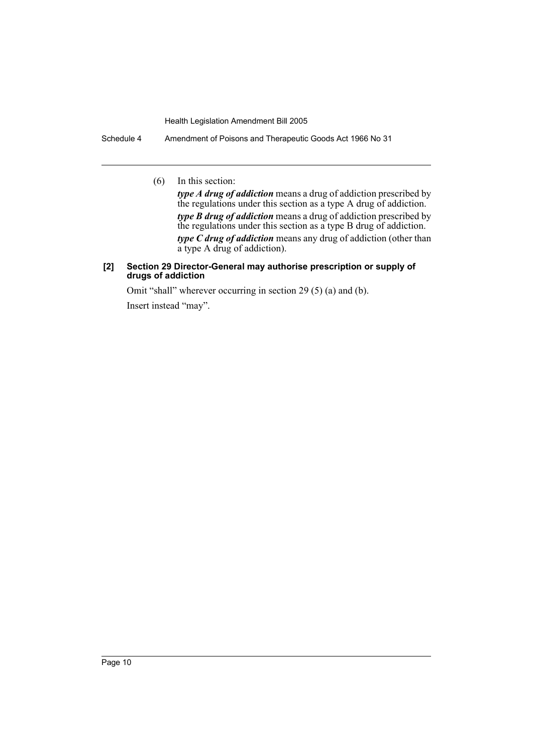Schedule 4 Amendment of Poisons and Therapeutic Goods Act 1966 No 31

(6) In this section:

*type A drug of addiction* means a drug of addiction prescribed by the regulations under this section as a type A drug of addiction. *type B drug of addiction* means a drug of addiction prescribed by the regulations under this section as a type B drug of addiction. *type C drug of addiction* means any drug of addiction (other than a type A drug of addiction).

#### **[2] Section 29 Director-General may authorise prescription or supply of drugs of addiction**

Omit "shall" wherever occurring in section 29 (5) (a) and (b).

Insert instead "may".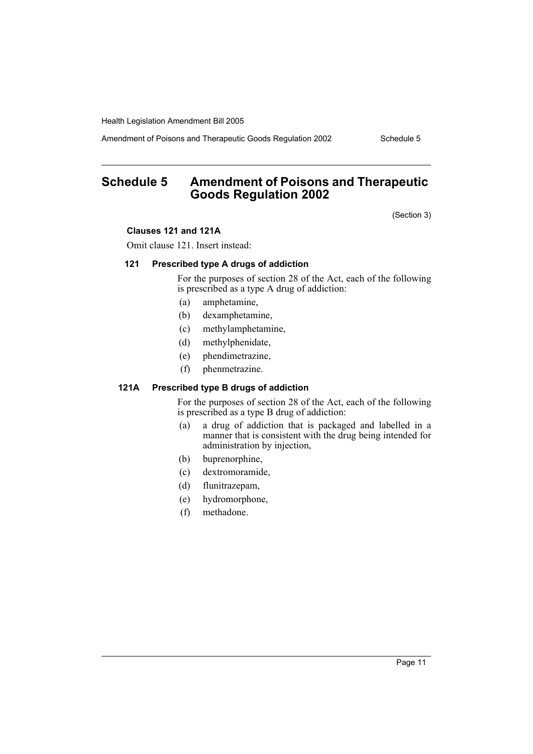Amendment of Poisons and Therapeutic Goods Regulation 2002 Schedule 5

# **Schedule 5 Amendment of Poisons and Therapeutic Goods Regulation 2002**

(Section 3)

#### **Clauses 121 and 121A**

Omit clause 121. Insert instead:

#### **121 Prescribed type A drugs of addiction**

For the purposes of section 28 of the Act, each of the following is prescribed as a type A drug of addiction:

- (a) amphetamine,
- (b) dexamphetamine,
- (c) methylamphetamine,
- (d) methylphenidate,
- (e) phendimetrazine,
- (f) phenmetrazine.

## **121A Prescribed type B drugs of addiction**

For the purposes of section 28 of the Act, each of the following is prescribed as a type B drug of addiction:

- (a) a drug of addiction that is packaged and labelled in a manner that is consistent with the drug being intended for administration by injection,
- (b) buprenorphine,
- (c) dextromoramide,
- (d) flunitrazepam,
- (e) hydromorphone,
- (f) methadone.